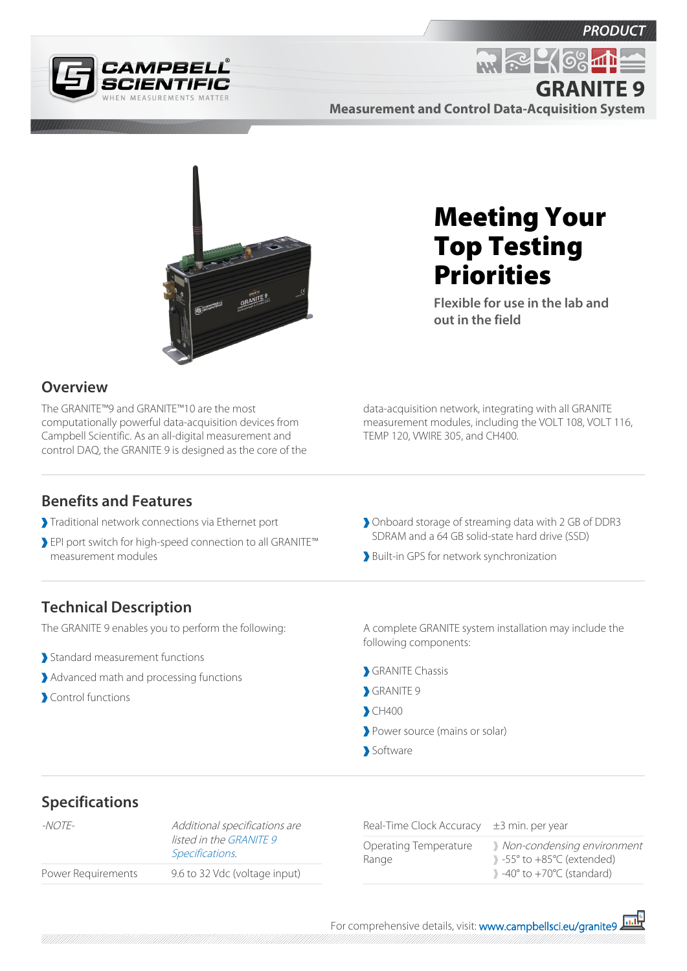



**Measurement and Control Data-Acquisition System GRANITE 9**



# **Overview**

The GRANITE™9 and GRANITE™10 are the most computationally powerful data-acquisition devices from Campbell Scientific. As an all-digital measurement and control DAQ, the GRANITE 9 is designed as the core of the

# Meeting Your Top Testing Priorities

**M. R. 469** 

**Flexible for use in the lab and out in the field**

data-acquisition network, integrating with all GRANITE measurement modules, including the VOLT 108, VOLT 116, TEMP 120, VWIRE 305, and CH400.

#### **Benefits and Features**

- Traditional network connections via Ethernet port
- EPI port switch for high-speed connection to all GRANITE™ measurement modules
- Onboard storage of streaming data with 2 GB of DDR3 SDRAM and a 64 GB solid-state hard drive (SSD)
- Built-in GPS for network synchronization

### **Technical Description**

The GRANITE 9 enables you to perform the following:

- Standard measurement functions
- Advanced math and processing functions
- Control functions

A complete GRANITE system installation may include the following components:

- GRANITE Chassis
- GRANITE<sub>9</sub>
- CH400
- Power source (mains or solar)
- Software

## **Specifications**

| -NOTF-             | Additional specifications are<br>listed in the GRANITE 9<br>Specifications. |
|--------------------|-----------------------------------------------------------------------------|
| Power Requirements | 9.6 to 32 Vdc (voltage input)                                               |
|                    |                                                                             |

Real-Time Clock Accuracy  $\pm$ 3 min. per year

| Operating Temperature | Non-condensing environment                                |
|-----------------------|-----------------------------------------------------------|
| Range                 | $\rightarrow$ -55 $\degree$ to +85 $\degree$ C (extended) |
|                       | $\rightarrow$ -40 $\degree$ to +70 $\degree$ C (standard) |
|                       |                                                           |